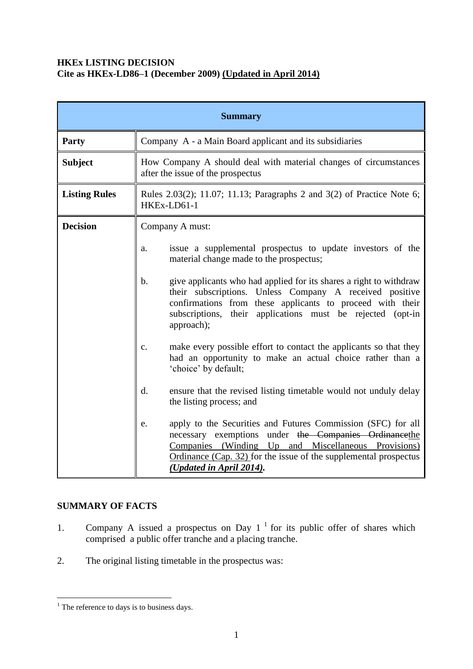## **HKEx LISTING DECISION Cite as HKEx-LD86–1 (December 2009) (Updated in April 2014)**

| <b>Summary</b>       |                                                                                                                                                                                                                                                                                         |  |
|----------------------|-----------------------------------------------------------------------------------------------------------------------------------------------------------------------------------------------------------------------------------------------------------------------------------------|--|
| Party                | Company A - a Main Board applicant and its subsidiaries                                                                                                                                                                                                                                 |  |
| <b>Subject</b>       | How Company A should deal with material changes of circumstances<br>after the issue of the prospectus                                                                                                                                                                                   |  |
| <b>Listing Rules</b> | Rules 2.03(2); 11.07; 11.13; Paragraphs 2 and 3(2) of Practice Note 6;<br>HKEx-LD61-1                                                                                                                                                                                                   |  |
| <b>Decision</b>      | Company A must:                                                                                                                                                                                                                                                                         |  |
|                      | issue a supplemental prospectus to update investors of the<br>a.<br>material change made to the prospectus;                                                                                                                                                                             |  |
|                      | give applicants who had applied for its shares a right to withdraw<br>$\mathbf b$ .<br>their subscriptions. Unless Company A received positive<br>confirmations from these applicants to proceed with their<br>subscriptions, their applications must be rejected (opt-in<br>approach); |  |
|                      | make every possible effort to contact the applicants so that they<br>c.<br>had an opportunity to make an actual choice rather than a<br>'choice' by default;                                                                                                                            |  |
|                      | ensure that the revised listing timetable would not unduly delay<br>$\mathbf{d}$ .<br>the listing process; and                                                                                                                                                                          |  |
|                      | apply to the Securities and Futures Commission (SFC) for all<br>e.<br>necessary exemptions under the Companies Ordinancethe<br>Companies (Winding Up and Miscellaneous Provisions)<br>Ordinance $(Cap. 32)$ for the issue of the supplemental prospectus<br>(Updated in April 2014).    |  |

# **SUMMARY OF FACTS**

1

- 1. Company A issued a prospectus on Day  $1<sup>1</sup>$  for its public offer of shares which comprised a public offer tranche and a placing tranche.
- 2. The original listing timetable in the prospectus was:

 $<sup>1</sup>$  The reference to days is to business days.</sup>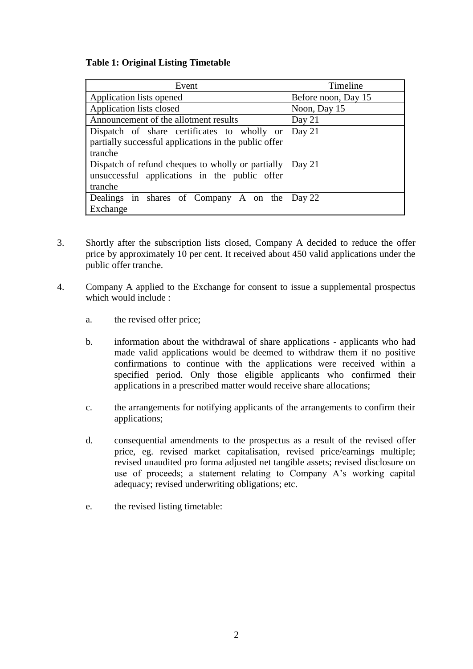## **Table 1: Original Listing Timetable**

| Event                                                 | Timeline            |
|-------------------------------------------------------|---------------------|
| Application lists opened                              | Before noon, Day 15 |
| Application lists closed                              | Noon, Day 15        |
| Announcement of the allotment results                 | Day 21              |
| Dispatch of share certificates to wholly or           | Day 21              |
| partially successful applications in the public offer |                     |
| tranche                                               |                     |
| Dispatch of refund cheques to wholly or partially     | Day $21$            |
| unsuccessful applications in the public offer         |                     |
| tranche                                               |                     |
| Dealings in shares of Company A on the                | Day 22              |
| Exchange                                              |                     |

- 3. Shortly after the subscription lists closed, Company A decided to reduce the offer price by approximately 10 per cent. It received about 450 valid applications under the public offer tranche.
- 4. Company A applied to the Exchange for consent to issue a supplemental prospectus which would include :
	- a. the revised offer price;
	- b. information about the withdrawal of share applications applicants who had made valid applications would be deemed to withdraw them if no positive confirmations to continue with the applications were received within a specified period. Only those eligible applicants who confirmed their applications in a prescribed matter would receive share allocations;
	- c. the arrangements for notifying applicants of the arrangements to confirm their applications;
	- d. consequential amendments to the prospectus as a result of the revised offer price, eg. revised market capitalisation, revised price/earnings multiple; revised unaudited pro forma adjusted net tangible assets; revised disclosure on use of proceeds; a statement relating to Company A's working capital adequacy; revised underwriting obligations; etc.
	- e. the revised listing timetable: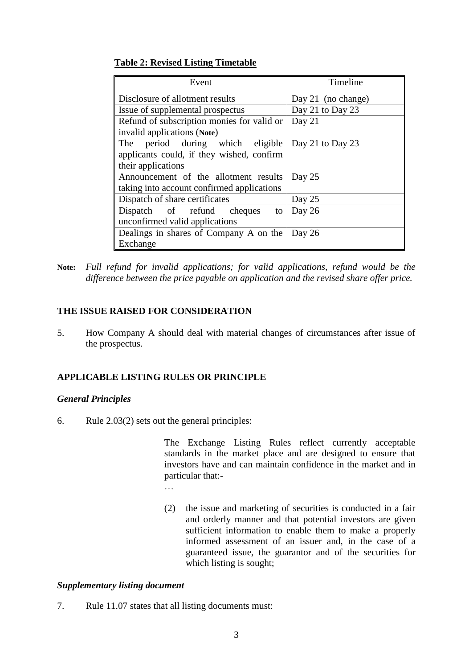#### **Table 2: Revised Listing Timetable**

| Event                                      | Timeline           |
|--------------------------------------------|--------------------|
| Disclosure of allotment results            | Day 21 (no change) |
| Issue of supplemental prospectus           | Day 21 to Day 23   |
| Refund of subscription monies for valid or | Day 21             |
| invalid applications (Note)                |                    |
| The period during which eligible           | Day 21 to Day 23   |
| applicants could, if they wished, confirm  |                    |
| their applications                         |                    |
| Announcement of the allotment results      | Day 25             |
| taking into account confirmed applications |                    |
| Dispatch of share certificates             | Day 25             |
| Dispatch of refund cheques<br>to           | Day 26             |
| unconfirmed valid applications             |                    |
| Dealings in shares of Company A on the     | Day 26             |
| Exchange                                   |                    |

**Note:** *Full refund for invalid applications; for valid applications, refund would be the difference between the price payable on application and the revised share offer price.*

#### **THE ISSUE RAISED FOR CONSIDERATION**

5. How Company A should deal with material changes of circumstances after issue of the prospectus.

#### **APPLICABLE LISTING RULES OR PRINCIPLE**

#### *General Principles*

6. Rule 2.03(2) sets out the general principles:

The Exchange Listing Rules reflect currently acceptable standards in the market place and are designed to ensure that investors have and can maintain confidence in the market and in particular that:-

(2) the issue and marketing of securities is conducted in a fair and orderly manner and that potential investors are given sufficient information to enable them to make a properly informed assessment of an issuer and, in the case of a guaranteed issue, the guarantor and of the securities for which listing is sought;

## *Supplementary listing document*

7. Rule 11.07 states that all listing documents must: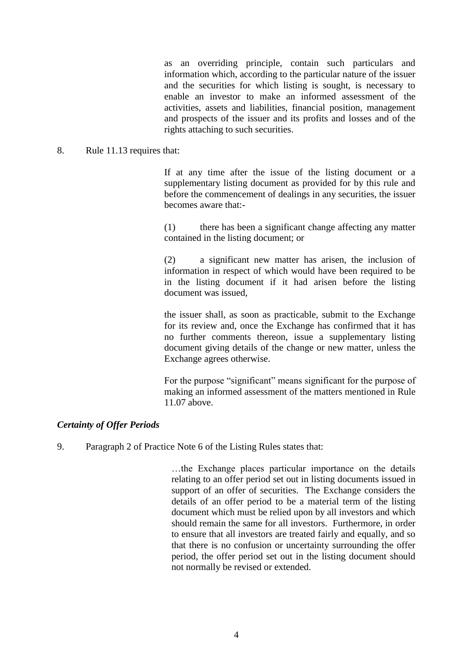as an overriding principle, contain such particulars and information which, according to the particular nature of the issuer and the securities for which listing is sought, is necessary to enable an investor to make an informed assessment of the activities, assets and liabilities, financial position, management and prospects of the issuer and its profits and losses and of the rights attaching to such securities.

#### 8. Rule 11.13 requires that:

If at any time after the issue of the listing document or a supplementary listing document as provided for by this rule and before the commencement of dealings in any securities, the issuer becomes aware that:-

(1) there has been a significant change affecting any matter contained in the listing document; or

(2) a significant new matter has arisen, the inclusion of information in respect of which would have been required to be in the listing document if it had arisen before the listing document was issued,

the issuer shall, as soon as practicable, submit to the Exchange for its review and, once the Exchange has confirmed that it has no further comments thereon, issue a supplementary listing document giving details of the change or new matter, unless the Exchange agrees otherwise.

For the purpose "significant" means significant for the purpose of making an informed assessment of the matters mentioned in Rule 11.07 above.

## *Certainty of Offer Periods*

9. Paragraph 2 of Practice Note 6 of the Listing Rules states that:

…the Exchange places particular importance on the details relating to an offer period set out in listing documents issued in support of an offer of securities. The Exchange considers the details of an offer period to be a material term of the listing document which must be relied upon by all investors and which should remain the same for all investors. Furthermore, in order to ensure that all investors are treated fairly and equally, and so that there is no confusion or uncertainty surrounding the offer period, the offer period set out in the listing document should not normally be revised or extended.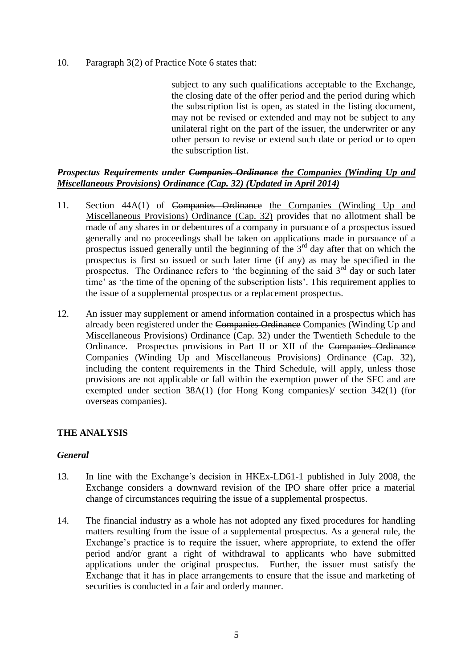10. Paragraph 3(2) of Practice Note 6 states that:

subject to any such qualifications acceptable to the Exchange. the closing date of the offer period and the period during which the subscription list is open, as stated in the listing document, may not be revised or extended and may not be subject to any unilateral right on the part of the issuer, the underwriter or any other person to revise or extend such date or period or to open the subscription list.

#### *Prospectus Requirements under Companies Ordinance the Companies (Winding Up and Miscellaneous Provisions) Ordinance (Cap. 32) (Updated in April 2014)*

- 11. Section 44A(1) of Companies Ordinance the Companies (Winding Up and Miscellaneous Provisions) Ordinance (Cap. 32) provides that no allotment shall be made of any shares in or debentures of a company in pursuance of a prospectus issued generally and no proceedings shall be taken on applications made in pursuance of a prospectus issued generally until the beginning of the  $3<sup>rd</sup>$  day after that on which the prospectus is first so issued or such later time (if any) as may be specified in the prospectus. The Ordinance refers to 'the beginning of the said  $3<sup>rd</sup>$  day or such later time' as 'the time of the opening of the subscription lists'. This requirement applies to the issue of a supplemental prospectus or a replacement prospectus.
- 12. An issuer may supplement or amend information contained in a prospectus which has already been registered under the Companies Ordinance Companies (Winding Up and Miscellaneous Provisions) Ordinance (Cap. 32) under the Twentieth Schedule to the Ordinance. Prospectus provisions in Part II or XII of the Companies Ordinance Companies (Winding Up and Miscellaneous Provisions) Ordinance (Cap. 32), including the content requirements in the Third Schedule, will apply, unless those provisions are not applicable or fall within the exemption power of the SFC and are exempted under section 38A(1) (for Hong Kong companies)/ section 342(1) (for overseas companies).

## **THE ANALYSIS**

## *General*

- 13. In line with the Exchange's decision in HKEx-LD61-1 published in July 2008, the Exchange considers a downward revision of the IPO share offer price a material change of circumstances requiring the issue of a supplemental prospectus.
- 14. The financial industry as a whole has not adopted any fixed procedures for handling matters resulting from the issue of a supplemental prospectus. As a general rule, the Exchange's practice is to require the issuer, where appropriate, to extend the offer period and/or grant a right of withdrawal to applicants who have submitted applications under the original prospectus. Further, the issuer must satisfy the Exchange that it has in place arrangements to ensure that the issue and marketing of securities is conducted in a fair and orderly manner.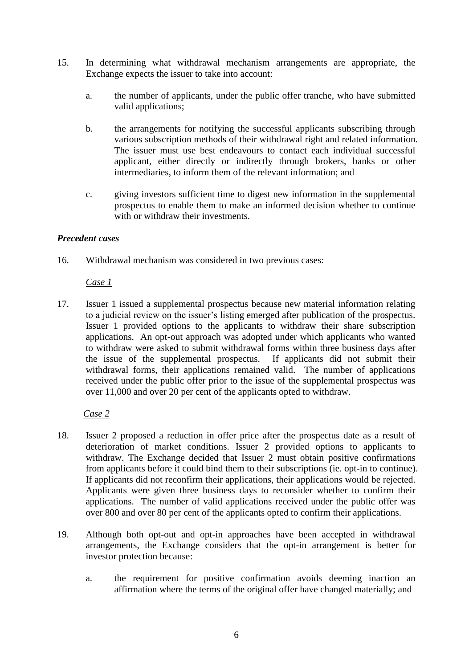- 15. In determining what withdrawal mechanism arrangements are appropriate, the Exchange expects the issuer to take into account:
	- a. the number of applicants, under the public offer tranche, who have submitted valid applications;
	- b. the arrangements for notifying the successful applicants subscribing through various subscription methods of their withdrawal right and related information. The issuer must use best endeavours to contact each individual successful applicant, either directly or indirectly through brokers, banks or other intermediaries, to inform them of the relevant information; and
	- c. giving investors sufficient time to digest new information in the supplemental prospectus to enable them to make an informed decision whether to continue with or withdraw their investments.

#### *Precedent cases*

16. Withdrawal mechanism was considered in two previous cases:

#### *Case 1*

17. Issuer 1 issued a supplemental prospectus because new material information relating to a judicial review on the issuer's listing emerged after publication of the prospectus. Issuer 1 provided options to the applicants to withdraw their share subscription applications. An opt-out approach was adopted under which applicants who wanted to withdraw were asked to submit withdrawal forms within three business days after the issue of the supplemental prospectus. If applicants did not submit their withdrawal forms, their applications remained valid. The number of applications received under the public offer prior to the issue of the supplemental prospectus was over 11,000 and over 20 per cent of the applicants opted to withdraw.

## *Case 2*

- 18. Issuer 2 proposed a reduction in offer price after the prospectus date as a result of deterioration of market conditions. Issuer 2 provided options to applicants to withdraw. The Exchange decided that Issuer 2 must obtain positive confirmations from applicants before it could bind them to their subscriptions (ie. opt-in to continue). If applicants did not reconfirm their applications, their applications would be rejected. Applicants were given three business days to reconsider whether to confirm their applications. The number of valid applications received under the public offer was over 800 and over 80 per cent of the applicants opted to confirm their applications.
- 19. Although both opt-out and opt-in approaches have been accepted in withdrawal arrangements, the Exchange considers that the opt-in arrangement is better for investor protection because:
	- a. the requirement for positive confirmation avoids deeming inaction an affirmation where the terms of the original offer have changed materially; and